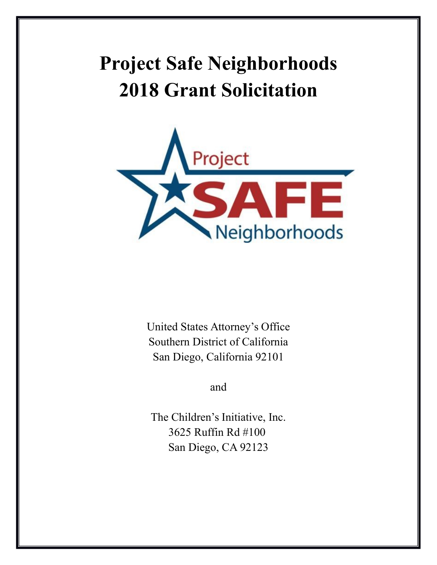# **Project Safe Neighborhoods 2018 Grant Solicitation**



United States Attorney's Office Southern District of California San Diego, California 92101

and

The Children's Initiative, Inc. 3625 Ruffin Rd #100 San Diego, CA 92123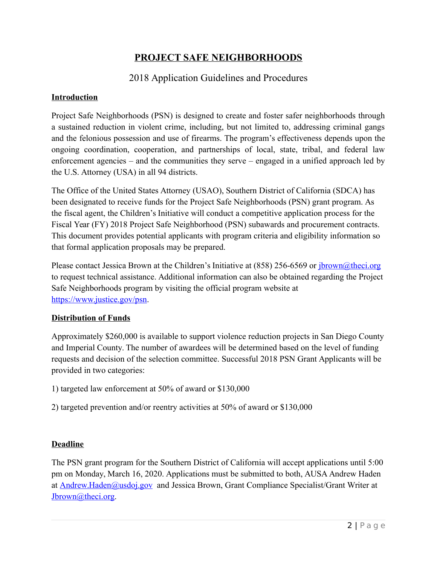# **PROJECT SAFE NEIGHBORHOODS**

# 2018 Application Guidelines and Procedures

#### **Introduction**

Project Safe Neighborhoods (PSN) is designed to create and foster safer neighborhoods through a sustained reduction in violent crime, including, but not limited to, addressing criminal gangs and the felonious possession and use of firearms. The program's effectiveness depends upon the ongoing coordination, cooperation, and partnerships of local, state, tribal, and federal law enforcement agencies – and the communities they serve – engaged in a unified approach led by the U.S. Attorney (USA) in all 94 districts.

The Office of the United States Attorney (USAO), Southern District of California (SDCA) has been designated to receive funds for the Project Safe Neighborhoods (PSN) grant program. As the fiscal agent, the Children's Initiative will conduct a competitive application process for the Fiscal Year (FY) 2018 Project Safe Neighborhood (PSN) subawards and procurement contracts. This document provides potential applicants with program criteria and eligibility information so that formal application proposals may be prepared.

Please contact Jessica Brown at the Children's Initiative at (858) 256-6569 or [jbrown@theci.org](mailto:jbrown@theci.org) to request technical assistance. Additional information can also be obtained regarding the Project Safe Neighborhoods program by visiting the official program website at [https://www.justice.gov/psn.](https://www.justice.gov/psn)

#### **Distribution of Funds**

Approximately \$260,000 is available to support violence reduction projects in San Diego County and Imperial County. The number of awardees will be determined based on the level of funding requests and decision of the selection committee. Successful 2018 PSN Grant Applicants will be provided in two categories:

- 1) targeted law enforcement at 50% of award or \$130,000
- 2) targeted prevention and/or reentry activities at 50% of award or \$130,000

#### **Deadline**

The PSN grant program for the Southern District of California will accept applications until 5:00 pm on Monday, March 16, 2020. Applications must be submitted to both, AUSA Andrew Haden at [Andrew.Haden@usdoj.gov](mailto:Andrew.Haden@usdoj.gov) and Jessica Brown, Grant Compliance Specialist/Grant Writer at [Jbrown@theci.org.](mailto:Jbrown@theci.org)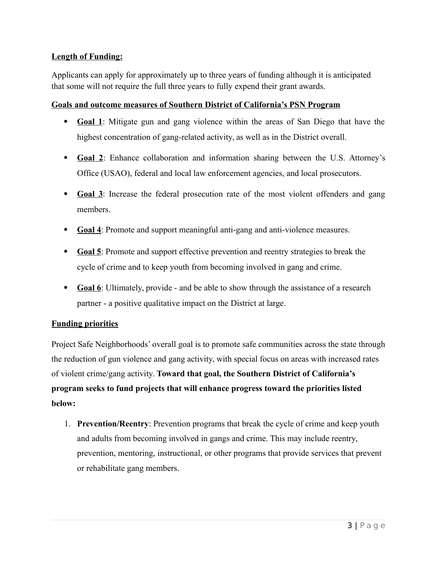### **Length of Funding:**

Applicants can apply for approximately up to three years of funding although it is anticipated that some will not require the full three years to fully expend their grant awards.

#### **Goals and outcome measures of Southern District of California's PSN Program**

- **Goal 1**: Mitigate gun and gang violence within the areas of San Diego that have the highest concentration of gang-related activity, as well as in the District overall.
- **Goal 2**: Enhance collaboration and information sharing between the U.S. Attorney's Office (USAO), federal and local law enforcement agencies, and local prosecutors.
- **Goal 3**: Increase the federal prosecution rate of the most violent offenders and gang members.
- **Goal 4**: Promote and support meaningful anti-gang and anti-violence measures.
- **Goal 5**: Promote and support effective prevention and reentry strategies to break the cycle of crime and to keep youth from becoming involved in gang and crime.
- **Goal 6**: Ultimately, provide and be able to show through the assistance of a research partner - a positive qualitative impact on the District at large.

#### **Funding priorities**

Project Safe Neighborhoods' overall goal is to promote safe communities across the state through the reduction of gun violence and gang activity, with special focus on areas with increased rates of violent crime/gang activity. **Toward that goal, the Southern District of California's program seeks to fund projects that will enhance progress toward the priorities listed below:**

1. **Prevention/Reentry**: Prevention programs that break the cycle of crime and keep youth and adults from becoming involved in gangs and crime. This may include reentry, prevention, mentoring, instructional, or other programs that provide services that prevent or rehabilitate gang members.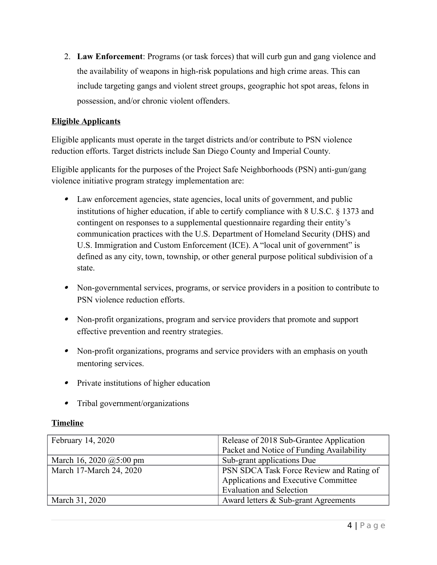2. **Law Enforcement**: Programs (or task forces) that will curb gun and gang violence and the availability of weapons in high-risk populations and high crime areas. This can include targeting gangs and violent street groups, geographic hot spot areas, felons in possession, and/or chronic violent offenders.

### **Eligible Applicants**

Eligible applicants must operate in the target districts and/or contribute to PSN violence reduction efforts. Target districts include San Diego County and Imperial County.

Eligible applicants for the purposes of the Project Safe Neighborhoods (PSN) anti-gun/gang violence initiative program strategy implementation are:

- Law enforcement agencies, state agencies, local units of government, and public institutions of higher education, if able to certify compliance with 8 U.S.C. § 1373 and contingent on responses to a supplemental questionnaire regarding their entity's communication practices with the U.S. Department of Homeland Security (DHS) and U.S. Immigration and Custom Enforcement (ICE). A "local unit of government" is defined as any city, town, township, or other general purpose political subdivision of a state.
- Non-governmental services, programs, or service providers in a position to contribute to PSN violence reduction efforts.
- Non-profit organizations, program and service providers that promote and support effective prevention and reentry strategies.
- Non-profit organizations, programs and service providers with an emphasis on youth mentoring services.
- Private institutions of higher education
- Tribal government/organizations

#### **Timeline**

| February 14, 2020         | Release of 2018 Sub-Grantee Application   |
|---------------------------|-------------------------------------------|
|                           | Packet and Notice of Funding Availability |
| March 16, 2020 $@5:00$ pm | Sub-grant applications Due                |
| March 17-March 24, 2020   | PSN SDCA Task Force Review and Rating of  |
|                           | Applications and Executive Committee      |
|                           | <b>Evaluation and Selection</b>           |
| March 31, 2020            | Award letters & Sub-grant Agreements      |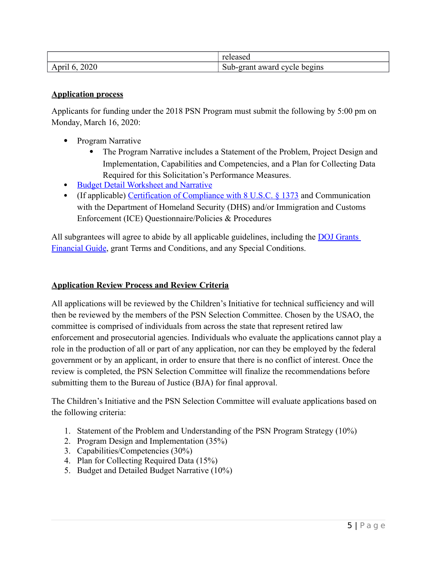|                     | $\sim$<br>$\sim$ $\sim$ $\sim$ $\sim$<br>Teleased |
|---------------------|---------------------------------------------------|
| 2020<br>April<br>÷. | Sub-grant<br>begins<br>cycle<br>award             |

#### **Application process**

Applicants for funding under the 2018 PSN Program must submit the following by 5:00 pm on Monday, March 16, 2020:

- Program Narrative
	- The Program Narrative includes a Statement of the Problem, Project Design and Implementation, Capabilities and Competencies, and a Plan for Collecting Data Required for this Solicitation's Performance Measures.
- **[Budget Detail Worksheet and Narrative](https://ojp.gov/funding/Apply/Forms/BudgetDetailWorksheet/BDW.XLSM)**
- (If applicable) [Certification of Compliance with 8 U.S.C. § 1373](https://www.ojp.gov/funding/Explore/pdf/18PSN_1373_Subcert_govt.pdf) and Communication with the Department of Homeland Security (DHS) and/or Immigration and Customs Enforcement (ICE) Questionnaire/Policies & Procedures

All subgrantees will agree to abide by all applicable guidelines, including the [DOJ Grants](https://www.ojp.gov/financialguide/doj/pdfs/DOJ_FinancialGuide.pdf)  [Financial Guide,](https://www.ojp.gov/financialguide/doj/pdfs/DOJ_FinancialGuide.pdf) grant Terms and Conditions, and any Special Conditions.

#### **Application Review Process and Review Criteria**

All applications will be reviewed by the Children's Initiative for technical sufficiency and will then be reviewed by the members of the PSN Selection Committee. Chosen by the USAO, the committee is comprised of individuals from across the state that represent retired law enforcement and prosecutorial agencies. Individuals who evaluate the applications cannot play a role in the production of all or part of any application, nor can they be employed by the federal government or by an applicant, in order to ensure that there is no conflict of interest. Once the review is completed, the PSN Selection Committee will finalize the recommendations before submitting them to the Bureau of Justice (BJA) for final approval.

The Children's Initiative and the PSN Selection Committee will evaluate applications based on the following criteria:

- 1. Statement of the Problem and Understanding of the PSN Program Strategy (10%)
- 2. Program Design and Implementation (35%)
- 3. Capabilities/Competencies (30%)
- 4. Plan for Collecting Required Data (15%)
- 5. Budget and Detailed Budget Narrative (10%)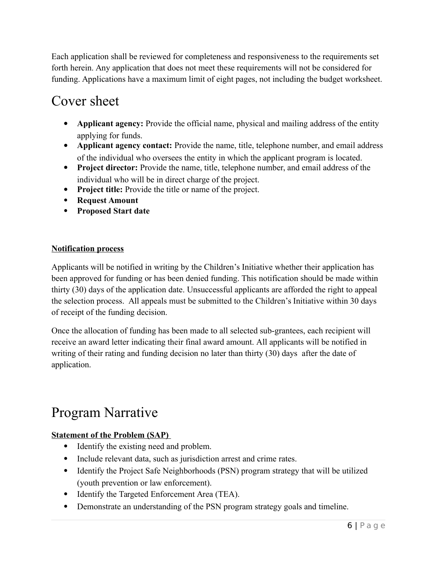Each application shall be reviewed for completeness and responsiveness to the requirements set forth herein. Any application that does not meet these requirements will not be considered for funding. Applications have a maximum limit of eight pages, not including the budget worksheet.

# Cover sheet

- **Applicant agency:** Provide the official name, physical and mailing address of the entity applying for funds.
- **Applicant agency contact:** Provide the name, title, telephone number, and email address of the individual who oversees the entity in which the applicant program is located.
- **Project director:** Provide the name, title, telephone number, and email address of the individual who will be in direct charge of the project.
- Project title: Provide the title or name of the project.
- **Request Amount**
- **Proposed Start date**

# **Notification process**

Applicants will be notified in writing by the Children's Initiative whether their application has been approved for funding or has been denied funding. This notification should be made within thirty (30) days of the application date. Unsuccessful applicants are afforded the right to appeal the selection process. All appeals must be submitted to the Children's Initiative within 30 days of receipt of the funding decision.

Once the allocation of funding has been made to all selected sub-grantees, each recipient will receive an award letter indicating their final award amount. All applicants will be notified in writing of their rating and funding decision no later than thirty (30) days after the date of application.

# Program Narrative

# **Statement of the Problem (SAP)**

- Identify the existing need and problem.
- Include relevant data, such as jurisdiction arrest and crime rates.
- Identify the Project Safe Neighborhoods (PSN) program strategy that will be utilized (youth prevention or law enforcement).
- Identify the Targeted Enforcement Area (TEA).
- Demonstrate an understanding of the PSN program strategy goals and timeline.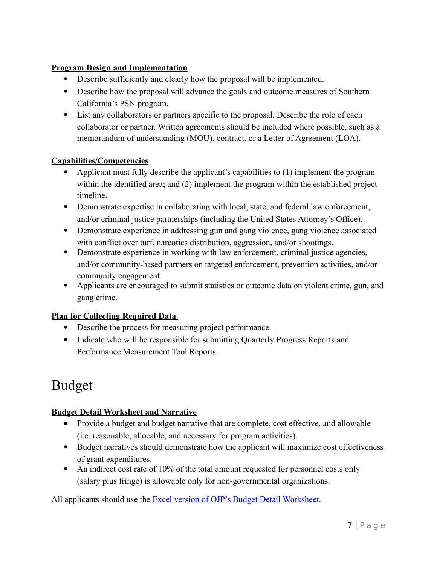### **Program Design and Implementation**

- Describe sufficiently and clearly how the proposal will be implemented.
- Describe how the proposal will advance the goals and outcome measures of Southern California's PSN program.
- List any collaborators or partners specific to the proposal. Describe the role of each collaborator or partner. Written agreements should be included where possible, such as a memorandum of understanding (MOU), contract, or a Letter of Agreement (LOA).

# **Capabilities/Competencies**

- Applicant must fully describe the applicant's capabilities to (1) implement the program within the identified area; and (2) implement the program within the established project timeline.
- Demonstrate expertise in collaborating with local, state, and federal law enforcement, and/or criminal justice partnerships (including the United States Attorney's Office).
- Demonstrate experience in addressing gun and gang violence, gang violence associated with conflict over turf, narcotics distribution, aggression, and/or shootings.
- Demonstrate experience in working with law enforcement, criminal justice agencies, and/or community-based partners on targeted enforcement, prevention activities, and/or community engagement.
- Applicants are encouraged to submit statistics or outcome data on violent crime, gun, and gang crime.

# **Plan for Collecting Required Data**

- Describe the process for measuring project performance.
- Indicate who will be responsible for submitting Quarterly Progress Reports and Performance Measurement Tool Reports.

# Budget

# **Budget Detail Worksheet and Narrative**

- Provide a budget and budget narrative that are complete, cost effective, and allowable (i.e. reasonable, allocable, and necessary for program activities).
- Budget narratives should demonstrate how the applicant will maximize cost effectiveness of grant expenditures.
- An indirect cost rate of 10% of the total amount requested for personnel costs only (salary plus fringe) is allowable only for non-governmental organizations.

All applicants should use the **Excel version of OJP's Budget Detail Worksheet**.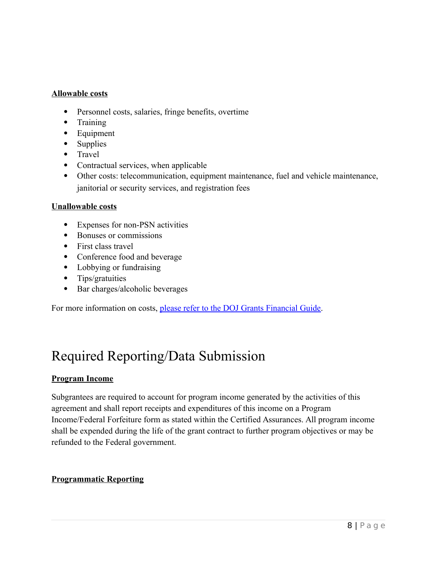#### **Allowable costs**

- Personnel costs, salaries, fringe benefits, overtime
- Training
- Equipment
- Supplies
- Travel
- Contractual services, when applicable
- Other costs: telecommunication, equipment maintenance, fuel and vehicle maintenance, janitorial or security services, and registration fees

#### **Unallowable costs**

- Expenses for non-PSN activities
- Bonuses or commissions
- First class travel
- Conference food and beverage
- Lobbying or fundraising
- Tips/gratuities
- Bar charges/alcoholic beverages

For more information on costs, [please refer to the DOJ Grants Financial Guide.](https://www.ojp.gov/financialguide/doj/pdfs/DOJ_FinancialGuide.pdf)

# Required Reporting/Data Submission

#### **Program Income**

Subgrantees are required to account for program income generated by the activities of this agreement and shall report receipts and expenditures of this income on a Program Income/Federal Forfeiture form as stated within the Certified Assurances. All program income shall be expended during the life of the grant contract to further program objectives or may be refunded to the Federal government.

#### **Programmatic Reporting**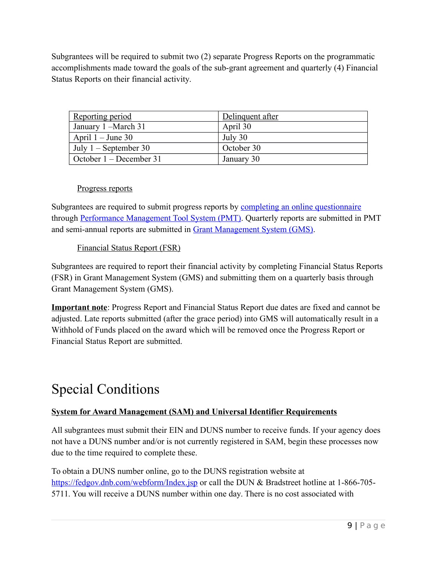Subgrantees will be required to submit two (2) separate Progress Reports on the programmatic accomplishments made toward the goals of the sub-grant agreement and quarterly (4) Financial Status Reports on their financial activity.

| Reporting period        | Delinquent after |
|-------------------------|------------------|
| January 1 – March 31    | April 30         |
| April $1 -$ June 30     | July 30          |
| July $1 -$ September 30 | October 30       |
| October 1 – December 31 | January 30       |

#### Progress reports

Subgrantees are required to submit progress reports by [completing an online questionnaire](https://bjapmt.ojp.gov/help/PSNMeasures.pdf) through [Performance Management Tool System \(PMT\).](https://ojpsso.ojp.gov/index.cfm) Quarterly reports are submitted in PMT and semi-annual reports are submitted in [Grant Management System \(GMS\).](https://grants.ojp.usdoj.gov/gmsexternal/login.do)

### Financial Status Report (FSR)

Subgrantees are required to report their financial activity by completing Financial Status Reports (FSR) in Grant Management System (GMS) and submitting them on a quarterly basis through Grant Management System (GMS).

**Important note**: Progress Report and Financial Status Report due dates are fixed and cannot be adjusted. Late reports submitted (after the grace period) into GMS will automatically result in a Withhold of Funds placed on the award which will be removed once the Progress Report or Financial Status Report are submitted.

# Special Conditions

### **System for Award Management (SAM) and Universal Identifier Requirements**

All subgrantees must submit their EIN and DUNS number to receive funds. If your agency does not have a DUNS number and/or is not currently registered in SAM, begin these processes now due to the time required to complete these.

To obtain a DUNS number online, go to the DUNS registration website at <https://fedgov.dnb.com/webform/Index.jsp>or call the DUN & Bradstreet hotline at 1-866-705-5711. You will receive a DUNS number within one day. There is no cost associated with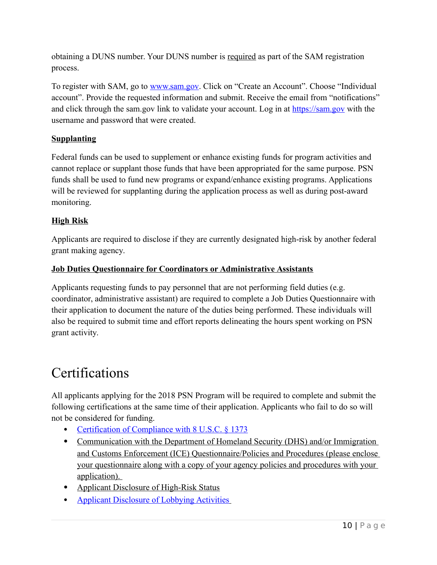obtaining a DUNS number. Your DUNS number is required as part of the SAM registration process.

To register with SAM, go to [www.sam.gov.](http://www.sam.gov/) Click on "Create an Account". Choose "Individual account". Provide the requested information and submit. Receive the email from "notifications" and click through the sam.gov link to validate your account. Log in at [https://sam.gov](https://sam.gov/) with the username and password that were created.

### **Supplanting**

Federal funds can be used to supplement or enhance existing funds for program activities and cannot replace or supplant those funds that have been appropriated for the same purpose. PSN funds shall be used to fund new programs or expand/enhance existing programs. Applications will be reviewed for supplanting during the application process as well as during post-award monitoring.

# **High Risk**

Applicants are required to disclose if they are currently designated high-risk by another federal grant making agency.

### **Job Duties Questionnaire for Coordinators or Administrative Assistants**

Applicants requesting funds to pay personnel that are not performing field duties (e.g. coordinator, administrative assistant) are required to complete a Job Duties Questionnaire with their application to document the nature of the duties being performed. These individuals will also be required to submit time and effort reports delineating the hours spent working on PSN grant activity.

# Certifications

All applicants applying for the 2018 PSN Program will be required to complete and submit the following certifications at the same time of their application. Applicants who fail to do so will not be considered for funding.

- [Certification of Compliance with 8 U.S.C. § 1373](https://ojp.gov/funding/Explore/SampleCertifications-8USC1373.htm)
- Communication with the Department of Homeland Security (DHS) and/or Immigration and Customs Enforcement (ICE) Questionnaire/Policies and Procedures (please enclose your questionnaire along with a copy of your agency policies and procedures with your application).
- Applicant Disclosure of High-Risk Status
- • [Applicant Disclosure of Lobbying Activities](https://eca.state.gov/files/bureau/sflll.pdf)